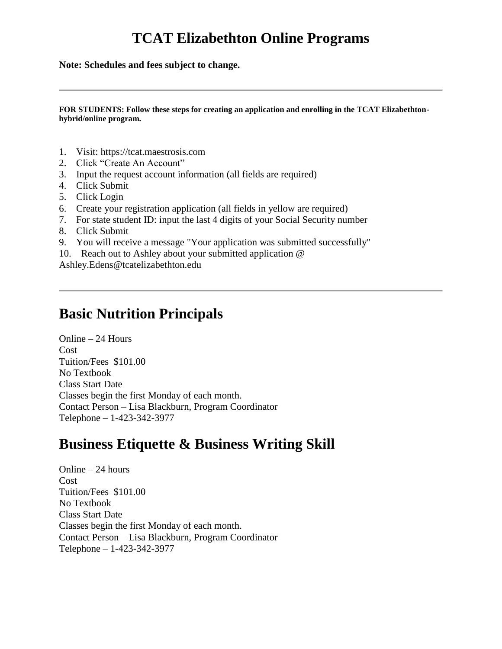## **TCAT Elizabethton Online Programs**

**Note: Schedules and fees subject to change.**

**FOR STUDENTS: Follow these steps for creating an application and enrolling in the TCAT Elizabethtonhybrid/online program.**

- 1. Visit: https://tcat.maestrosis.com
- 2. Click "Create An Account"
- 3. Input the request account information (all fields are required)
- 4. Click Submit
- 5. Click Login
- 6. Create your registration application (all fields in yellow are required)
- 7. For state student ID: input the last 4 digits of your Social Security number
- 8. Click Submit
- 9. You will receive a message "Your application was submitted successfully"
- 10. Reach out to Ashley about your submitted application @

Ashley.Edens@tcatelizabethton.edu

#### **Basic Nutrition Principals**

Online – 24 Hours Cost Tuition/Fees \$101.00 No Textbook Class Start Date Classes begin the first Monday of each month. Contact Person – Lisa Blackburn, Program Coordinator Telephone – 1-423-342-3977

### **Business Etiquette & Business Writing Skill**

Online – 24 hours Cost Tuition/Fees \$101.00 No Textbook Class Start Date Classes begin the first Monday of each month. Contact Person – Lisa Blackburn, Program Coordinator Telephone – 1-423-342-3977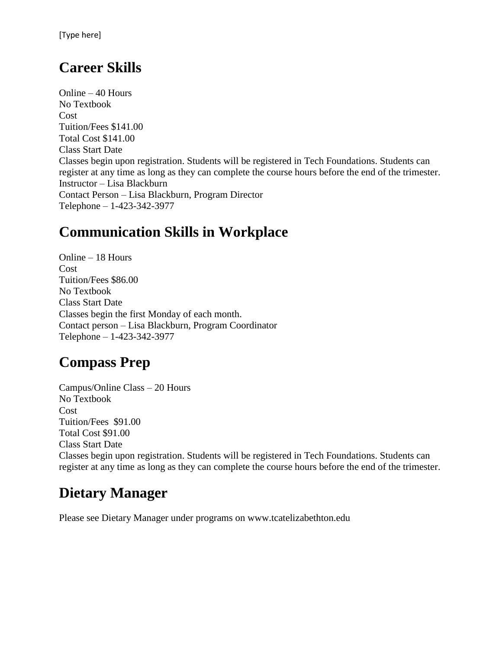## **Career Skills**

Online – 40 Hours No Textbook Cost Tuition/Fees \$141.00 Total Cost \$141.00 Class Start Date Classes begin upon registration. Students will be registered in Tech Foundations. Students can register at any time as long as they can complete the course hours before the end of the trimester. Instructor – Lisa Blackburn Contact Person – Lisa Blackburn, Program Director Telephone – 1-423-342-3977

## **Communication Skills in Workplace**

Online – 18 Hours Cost Tuition/Fees \$86.00 No Textbook Class Start Date Classes begin the first Monday of each month. Contact person – Lisa Blackburn, Program Coordinator Telephone – 1-423-342-3977

# **Compass Prep**

Campus/Online Class – 20 Hours No Textbook Cost Tuition/Fees \$91.00 Total Cost \$91.00 Class Start Date Classes begin upon registration. Students will be registered in Tech Foundations. Students can register at any time as long as they can complete the course hours before the end of the trimester.

## **Dietary Manager**

Please see Dietary Manager under programs on www.tcatelizabethton.edu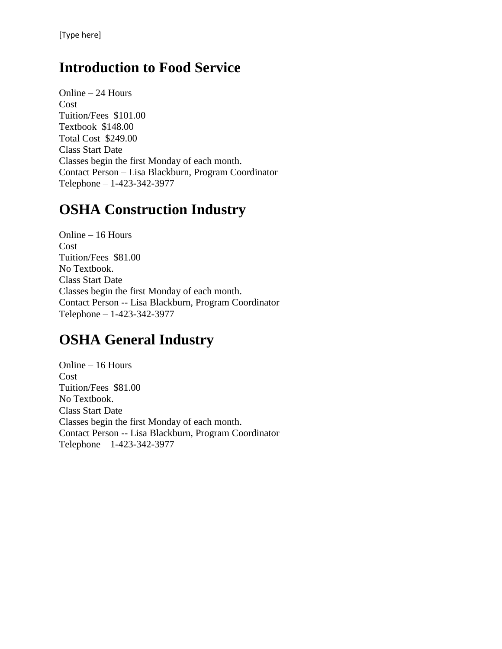### **Introduction to Food Service**

Online – 24 Hours Cost Tuition/Fees \$101.00 Textbook \$148.00 Total Cost \$249.00 Class Start Date Classes begin the first Monday of each month. Contact Person – Lisa Blackburn, Program Coordinator Telephone – 1-423-342-3977

### **OSHA Construction Industry**

Online – 16 Hours Cost Tuition/Fees \$81.00 No Textbook. Class Start Date Classes begin the first Monday of each month. Contact Person -- Lisa Blackburn, Program Coordinator Telephone – 1-423-342-3977

#### **OSHA General Industry**

Online – 16 Hours Cost Tuition/Fees \$81.00 No Textbook. Class Start Date Classes begin the first Monday of each month. Contact Person -- Lisa Blackburn, Program Coordinator Telephone – 1-423-342-3977